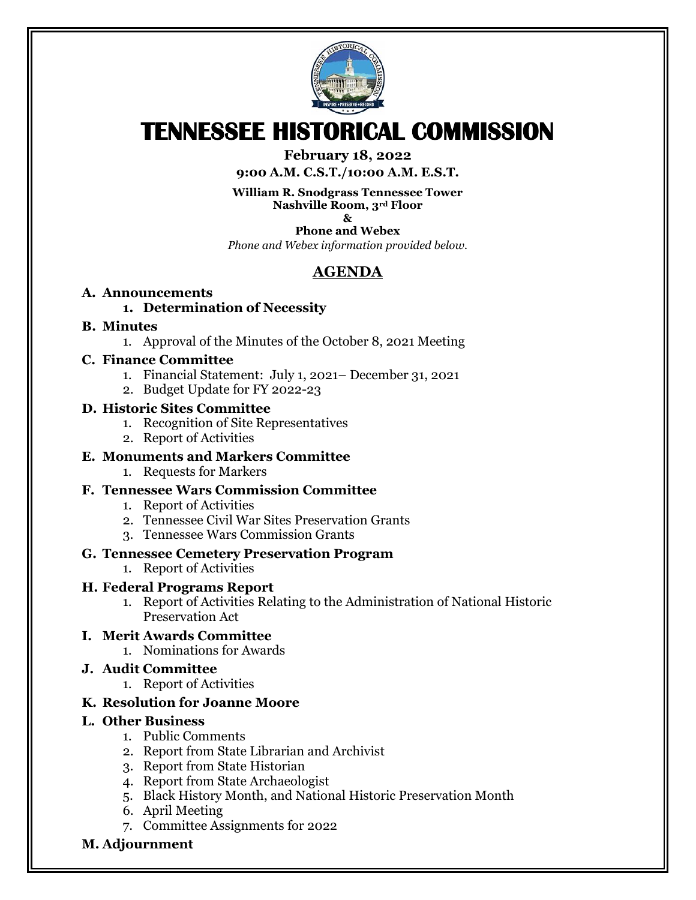

# **TENNESSEE HISTORICAL COMMISSION**

#### **February 18, 2022**

**9:00 A.M. C.S.T./10:00 A.M. E.S.T.**

**William R. Snodgrass Tennessee Tower Nashville Room, 3rd Floor**

**&**

**Phone and Webex** *Phone and Webex information provided below.*

## **AGENDA**

#### **A. Announcements**

#### **1. Determination of Necessity**

#### **B. Minutes**

1. Approval of the Minutes of the October 8, 2021 Meeting

#### **C. Finance Committee**

- 1. Financial Statement: July 1, 2021– December 31, 2021
- 2. Budget Update for FY 2022-23

#### **D. Historic Sites Committee**

- 1. Recognition of Site Representatives
- 2. Report of Activities

#### **E. Monuments and Markers Committee**

1. Requests for Markers

#### **F. Tennessee Wars Commission Committee**

- 1. Report of Activities
- 2. Tennessee Civil War Sites Preservation Grants
- 3. Tennessee Wars Commission Grants

#### **G. Tennessee Cemetery Preservation Program**

1. Report of Activities

#### **H. Federal Programs Report**

- 1. Report of Activities Relating to the Administration of National Historic Preservation Act
- **I. Merit Awards Committee**
	- 1. Nominations for Awards

#### **J. Audit Committee**

1. Report of Activities

#### **K. Resolution for Joanne Moore**

#### **L. Other Business**

- 1. Public Comments
- 2. Report from State Librarian and Archivist
- 3. Report from State Historian
- 4. Report from State Archaeologist
- 5. Black History Month, and National Historic Preservation Month
- 6. April Meeting
- 7. Committee Assignments for 2022
- **M. Adjournment**